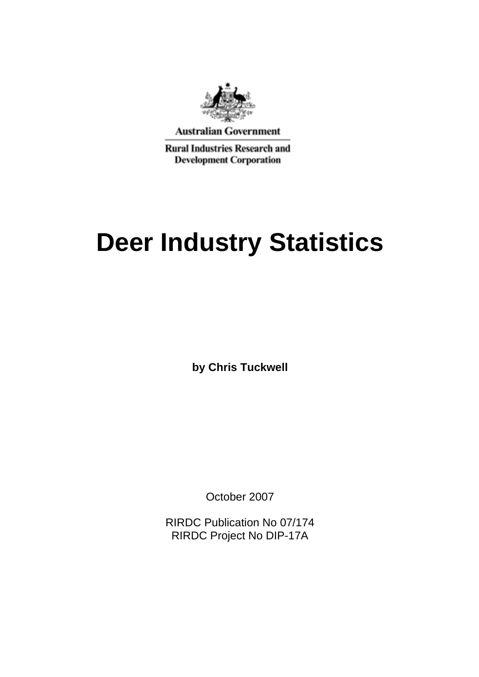

**Australian Government** 

**Rural Industries Research and Development Corporation** 

# **Deer Industry Statistics**

**by Chris Tuckwell**

October 2007

RIRDC Publication No 07/174 RIRDC Project No DIP-17A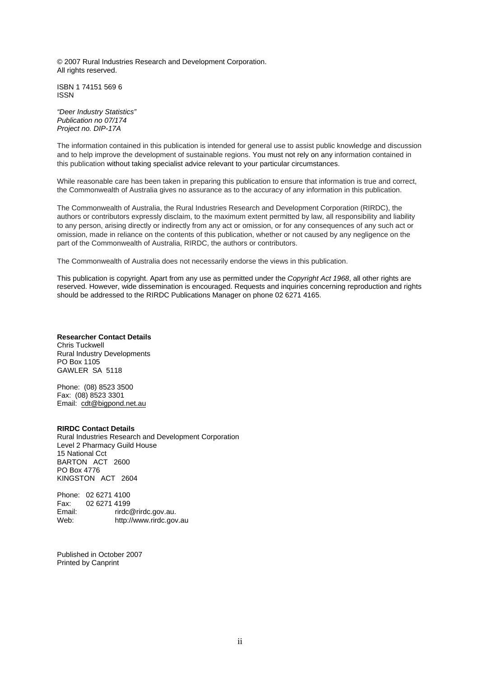© 2007 Rural Industries Research and Development Corporation. All rights reserved.

ISBN 1 74151 569 6 ISSN

*"Deer Industry Statistics" Publication no 07/174 Project no. DIP-17A* 

The information contained in this publication is intended for general use to assist public knowledge and discussion and to help improve the development of sustainable regions. You must not rely on any information contained in this publication without taking specialist advice relevant to your particular circumstances.

While reasonable care has been taken in preparing this publication to ensure that information is true and correct, the Commonwealth of Australia gives no assurance as to the accuracy of any information in this publication.

The Commonwealth of Australia, the Rural Industries Research and Development Corporation (RIRDC), the authors or contributors expressly disclaim, to the maximum extent permitted by law, all responsibility and liability to any person, arising directly or indirectly from any act or omission, or for any consequences of any such act or omission, made in reliance on the contents of this publication, whether or not caused by any negligence on the part of the Commonwealth of Australia, RIRDC, the authors or contributors.

The Commonwealth of Australia does not necessarily endorse the views in this publication.

This publication is copyright. Apart from any use as permitted under the *Copyright Act 1968*, all other rights are reserved. However, wide dissemination is encouraged. Requests and inquiries concerning reproduction and rights should be addressed to the RIRDC Publications Manager on phone 02 6271 4165.

#### **Researcher Contact Details**

Chris Tuckwell Rural Industry Developments PO Box 1105 GAWLER SA 5118

Phone: (08) 8523 3500 Fax: (08) 8523 3301 Email: cdt@bigpond.net.au

#### **RIRDC Contact Details**

Rural Industries Research and Development Corporation Level 2 Pharmacy Guild House 15 National Cct BARTON ACT 2600 PO Box 4776 KINGSTON ACT 2604

Phone: 02 6271 4100<br>Fax: 02 6271 4199 02 6271 4199 Email: rirdc@rirdc.gov.au.<br>Web: http://www.rirdc.gov http://www.rirdc.gov.au

Published in October 2007 Printed by Canprint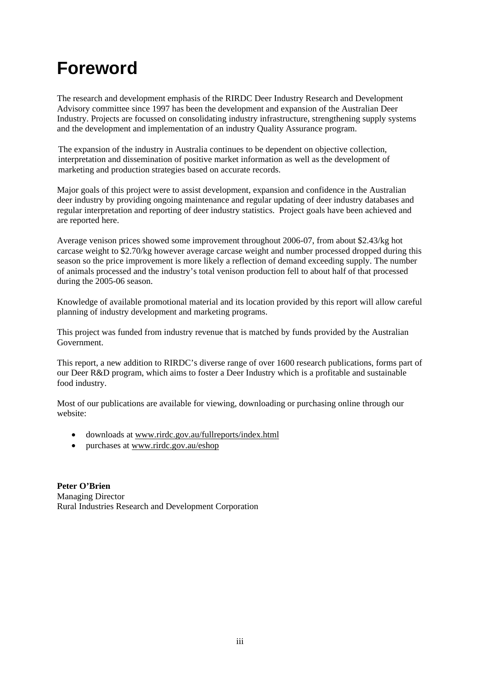### **Foreword**

The research and development emphasis of the RIRDC Deer Industry Research and Development Advisory committee since 1997 has been the development and expansion of the Australian Deer Industry. Projects are focussed on consolidating industry infrastructure, strengthening supply systems and the development and implementation of an industry Quality Assurance program.

The expansion of the industry in Australia continues to be dependent on objective collection, interpretation and dissemination of positive market information as well as the development of marketing and production strategies based on accurate records.

Major goals of this project were to assist development, expansion and confidence in the Australian deer industry by providing ongoing maintenance and regular updating of deer industry databases and regular interpretation and reporting of deer industry statistics. Project goals have been achieved and are reported here.

Average venison prices showed some improvement throughout 2006-07, from about \$2.43/kg hot carcase weight to \$2.70/kg however average carcase weight and number processed dropped during this season so the price improvement is more likely a reflection of demand exceeding supply. The number of animals processed and the industry's total venison production fell to about half of that processed during the 2005-06 season.

Knowledge of available promotional material and its location provided by this report will allow careful planning of industry development and marketing programs.

This project was funded from industry revenue that is matched by funds provided by the Australian Government.

This report, a new addition to RIRDC's diverse range of over 1600 research publications, forms part of our Deer R&D program, which aims to foster a Deer Industry which is a profitable and sustainable food industry.

Most of our publications are available for viewing, downloading or purchasing online through our website:

- downloads at www.rirdc.gov.au/fullreports/index.html
- purchases at www.rirdc.gov.au/eshop

**Peter O'Brien**  Managing Director Rural Industries Research and Development Corporation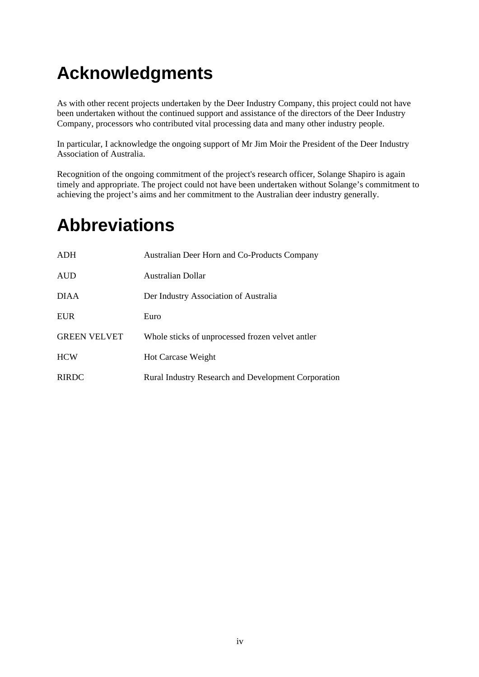# **Acknowledgments**

As with other recent projects undertaken by the Deer Industry Company, this project could not have been undertaken without the continued support and assistance of the directors of the Deer Industry Company, processors who contributed vital processing data and many other industry people.

In particular, I acknowledge the ongoing support of Mr Jim Moir the President of the Deer Industry Association of Australia.

Recognition of the ongoing commitment of the project's research officer, Solange Shapiro is again timely and appropriate. The project could not have been undertaken without Solange's commitment to achieving the project's aims and her commitment to the Australian deer industry generally.

# **Abbreviations**

| <b>ADH</b>          | Australian Deer Horn and Co-Products Company               |
|---------------------|------------------------------------------------------------|
| <b>AUD</b>          | Australian Dollar                                          |
| <b>DIAA</b>         | Der Industry Association of Australia                      |
| <b>EUR</b>          | Euro                                                       |
| <b>GREEN VELVET</b> | Whole sticks of unprocessed frozen velvet antler           |
| <b>HCW</b>          | <b>Hot Carcase Weight</b>                                  |
| <b>RIRDC</b>        | <b>Rural Industry Research and Development Corporation</b> |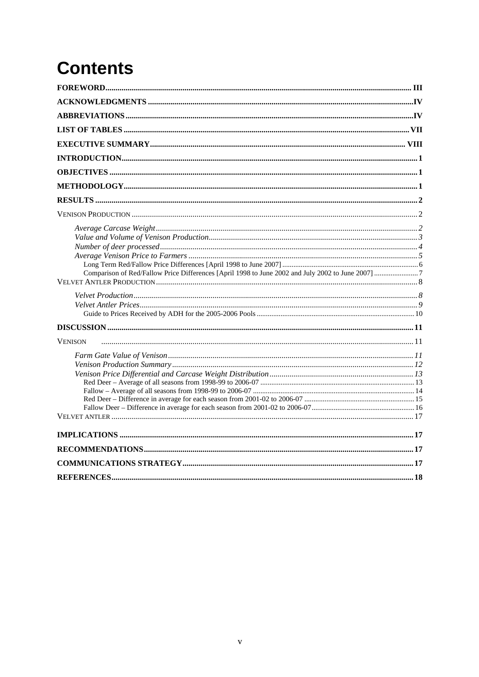# **Contents**

| <b>VENISON</b> |  |
|----------------|--|
|                |  |
|                |  |
|                |  |
|                |  |
|                |  |
|                |  |
|                |  |
|                |  |
|                |  |
|                |  |
|                |  |
|                |  |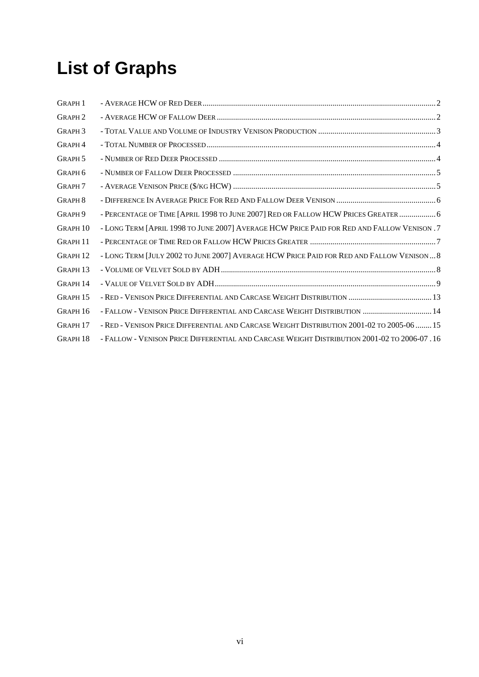# **List of Graphs**

| <b>GRAPH 1</b>      |                                                                                              |  |
|---------------------|----------------------------------------------------------------------------------------------|--|
| <b>GRAPH2</b>       |                                                                                              |  |
| GRAPH <sub>3</sub>  |                                                                                              |  |
| GRAPH <sub>4</sub>  |                                                                                              |  |
| GRAPH <sub>5</sub>  |                                                                                              |  |
| GRAPH <sub>6</sub>  |                                                                                              |  |
| <b>GRAPH 7</b>      |                                                                                              |  |
| <b>GRAPH 8</b>      |                                                                                              |  |
| GRAPH <sub>9</sub>  | - PERCENTAGE OF TIME [APRIL 1998 TO JUNE 2007] RED OR FALLOW HCW PRICES GREATER  6           |  |
| <b>GRAPH 10</b>     | - LONG TERM [APRIL 1998 TO JUNE 2007] AVERAGE HCW PRICE PAID FOR RED AND FALLOW VENISON . 7  |  |
| GRAPH 11            |                                                                                              |  |
| <b>GRAPH 12</b>     | - LONG TERM JJULY 2002 TO JUNE 2007] AVERAGE HCW PRICE PAID FOR RED AND FALLOW VENISON  8    |  |
| GRAPH <sub>13</sub> |                                                                                              |  |
| GRAPH 14            |                                                                                              |  |
| GRAPH <sub>15</sub> |                                                                                              |  |
| GRAPH 16            | - FALLOW - VENISON PRICE DIFFERENTIAL AND CARCASE WEIGHT DISTRIBUTION  14                    |  |
| GRAPH <sub>17</sub> | - RED - VENISON PRICE DIFFERENTIAL AND CARCASE WEIGHT DISTRIBUTION 2001-02 TO 2005-06  15    |  |
| GRAPH <sub>18</sub> | - FALLOW - VENISON PRICE DIFFERENTIAL AND CARCASE WEIGHT DISTRIBUTION 2001-02 TO 2006-07 .16 |  |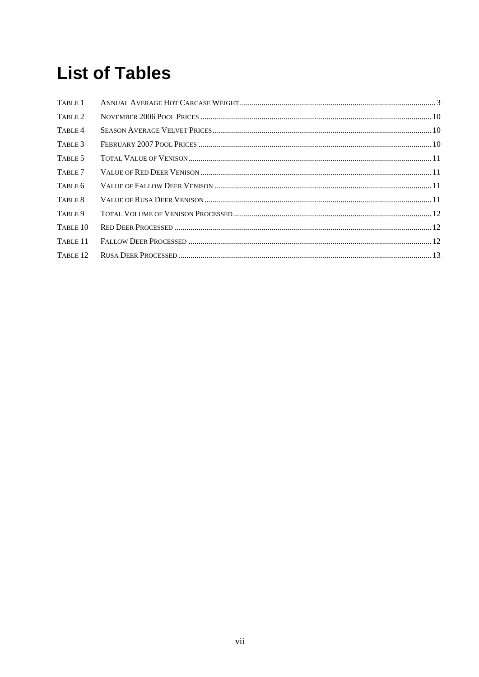# **List of Tables**

| TABLE 1             |  |
|---------------------|--|
| TABLE 2             |  |
| TABLE 4             |  |
| TABLE 3             |  |
| TABLE 5             |  |
| TABLE 7             |  |
| TABLE 6             |  |
| TABLE 8             |  |
| TABLE 9             |  |
| TABLE <sub>10</sub> |  |
| TABLE <sub>11</sub> |  |
| TABLE <sub>12</sub> |  |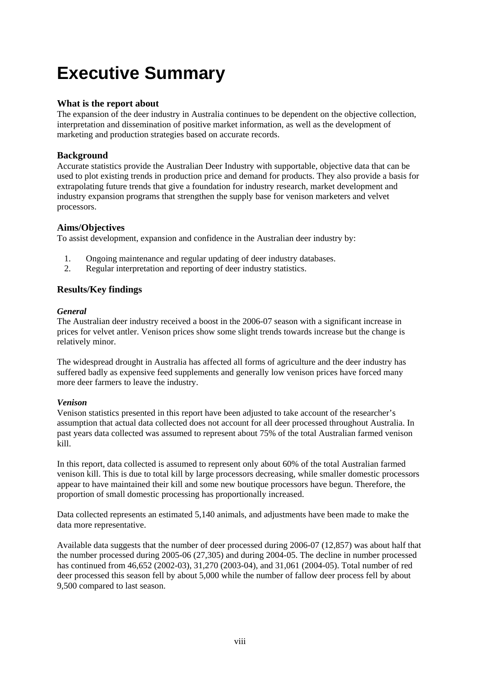# **Executive Summary**

#### **What is the report about**

The expansion of the deer industry in Australia continues to be dependent on the objective collection, interpretation and dissemination of positive market information, as well as the development of marketing and production strategies based on accurate records.

#### **Background**

Accurate statistics provide the Australian Deer Industry with supportable, objective data that can be used to plot existing trends in production price and demand for products. They also provide a basis for extrapolating future trends that give a foundation for industry research, market development and industry expansion programs that strengthen the supply base for venison marketers and velvet processors.

#### **Aims/Objectives**

To assist development, expansion and confidence in the Australian deer industry by:

- 1. Ongoing maintenance and regular updating of deer industry databases.
- 2. Regular interpretation and reporting of deer industry statistics.

#### **Results/Key findings**

#### *General*

The Australian deer industry received a boost in the 2006-07 season with a significant increase in prices for velvet antler. Venison prices show some slight trends towards increase but the change is relatively minor.

The widespread drought in Australia has affected all forms of agriculture and the deer industry has suffered badly as expensive feed supplements and generally low venison prices have forced many more deer farmers to leave the industry.

#### *Venison*

Venison statistics presented in this report have been adjusted to take account of the researcher's assumption that actual data collected does not account for all deer processed throughout Australia. In past years data collected was assumed to represent about 75% of the total Australian farmed venison kill.

In this report, data collected is assumed to represent only about 60% of the total Australian farmed venison kill. This is due to total kill by large processors decreasing, while smaller domestic processors appear to have maintained their kill and some new boutique processors have begun. Therefore, the proportion of small domestic processing has proportionally increased.

Data collected represents an estimated 5,140 animals, and adjustments have been made to make the data more representative.

Available data suggests that the number of deer processed during 2006-07 (12,857) was about half that the number processed during 2005-06 (27,305) and during 2004-05. The decline in number processed has continued from 46,652 (2002-03), 31,270 (2003-04), and 31,061 (2004-05). Total number of red deer processed this season fell by about 5,000 while the number of fallow deer process fell by about 9,500 compared to last season.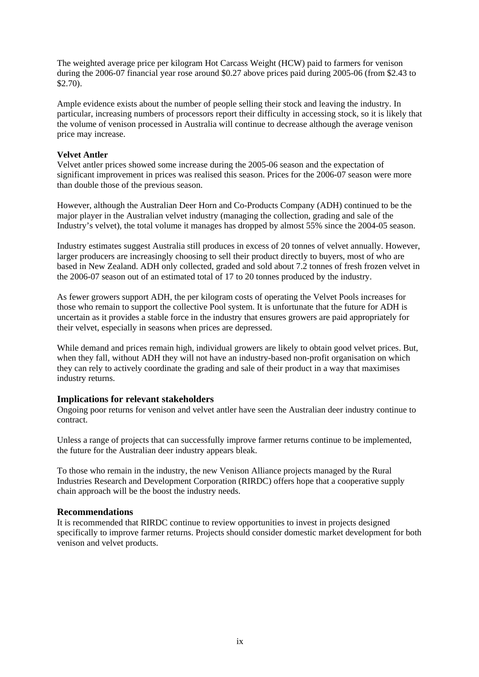The weighted average price per kilogram Hot Carcass Weight (HCW) paid to farmers for venison during the 2006-07 financial year rose around \$0.27 above prices paid during 2005-06 (from \$2.43 to \$2.70).

Ample evidence exists about the number of people selling their stock and leaving the industry. In particular, increasing numbers of processors report their difficulty in accessing stock, so it is likely that the volume of venison processed in Australia will continue to decrease although the average venison price may increase.

#### **Velvet Antler**

Velvet antler prices showed some increase during the 2005-06 season and the expectation of significant improvement in prices was realised this season. Prices for the 2006-07 season were more than double those of the previous season.

However, although the Australian Deer Horn and Co-Products Company (ADH) continued to be the major player in the Australian velvet industry (managing the collection, grading and sale of the Industry's velvet), the total volume it manages has dropped by almost 55% since the 2004-05 season.

Industry estimates suggest Australia still produces in excess of 20 tonnes of velvet annually. However, larger producers are increasingly choosing to sell their product directly to buyers, most of who are based in New Zealand. ADH only collected, graded and sold about 7.2 tonnes of fresh frozen velvet in the 2006-07 season out of an estimated total of 17 to 20 tonnes produced by the industry.

As fewer growers support ADH, the per kilogram costs of operating the Velvet Pools increases for those who remain to support the collective Pool system. It is unfortunate that the future for ADH is uncertain as it provides a stable force in the industry that ensures growers are paid appropriately for their velvet, especially in seasons when prices are depressed.

While demand and prices remain high, individual growers are likely to obtain good velvet prices. But, when they fall, without ADH they will not have an industry-based non-profit organisation on which they can rely to actively coordinate the grading and sale of their product in a way that maximises industry returns.

#### **Implications for relevant stakeholders**

Ongoing poor returns for venison and velvet antler have seen the Australian deer industry continue to contract.

Unless a range of projects that can successfully improve farmer returns continue to be implemented, the future for the Australian deer industry appears bleak.

To those who remain in the industry, the new Venison Alliance projects managed by the Rural Industries Research and Development Corporation (RIRDC) offers hope that a cooperative supply chain approach will be the boost the industry needs.

#### **Recommendations**

It is recommended that RIRDC continue to review opportunities to invest in projects designed specifically to improve farmer returns. Projects should consider domestic market development for both venison and velvet products.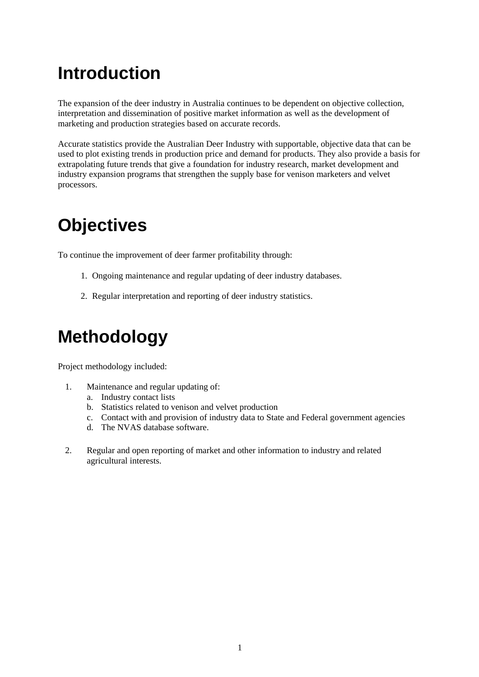# **Introduction**

The expansion of the deer industry in Australia continues to be dependent on objective collection, interpretation and dissemination of positive market information as well as the development of marketing and production strategies based on accurate records.

Accurate statistics provide the Australian Deer Industry with supportable, objective data that can be used to plot existing trends in production price and demand for products. They also provide a basis for extrapolating future trends that give a foundation for industry research, market development and industry expansion programs that strengthen the supply base for venison marketers and velvet processors.

# **Objectives**

To continue the improvement of deer farmer profitability through:

- 1. Ongoing maintenance and regular updating of deer industry databases.
- 2. Regular interpretation and reporting of deer industry statistics.

# **Methodology**

Project methodology included:

- 1. Maintenance and regular updating of:
	- a. Industry contact lists
	- b. Statistics related to venison and velvet production
	- c. Contact with and provision of industry data to State and Federal government agencies
	- d. The NVAS database software.
- 2. Regular and open reporting of market and other information to industry and related agricultural interests.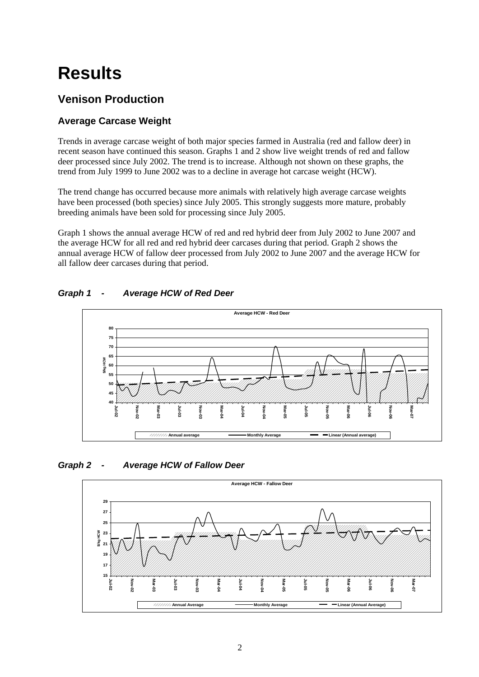# **Results**

### **Venison Production**

### **Average Carcase Weight**

Trends in average carcase weight of both major species farmed in Australia (red and fallow deer) in recent season have continued this season. Graphs 1 and 2 show live weight trends of red and fallow deer processed since July 2002. The trend is to increase. Although not shown on these graphs, the trend from July 1999 to June 2002 was to a decline in average hot carcase weight (HCW).

The trend change has occurred because more animals with relatively high average carcase weights have been processed (both species) since July 2005. This strongly suggests more mature, probably breeding animals have been sold for processing since July 2005.

Graph 1 shows the annual average HCW of red and red hybrid deer from July 2002 to June 2007 and the average HCW for all red and red hybrid deer carcases during that period. Graph 2 shows the annual average HCW of fallow deer processed from July 2002 to June 2007 and the average HCW for all fallow deer carcases during that period.

### *Graph 1 - Average HCW of Red Deer*



*Graph 2 - Average HCW of Fallow Deer* 

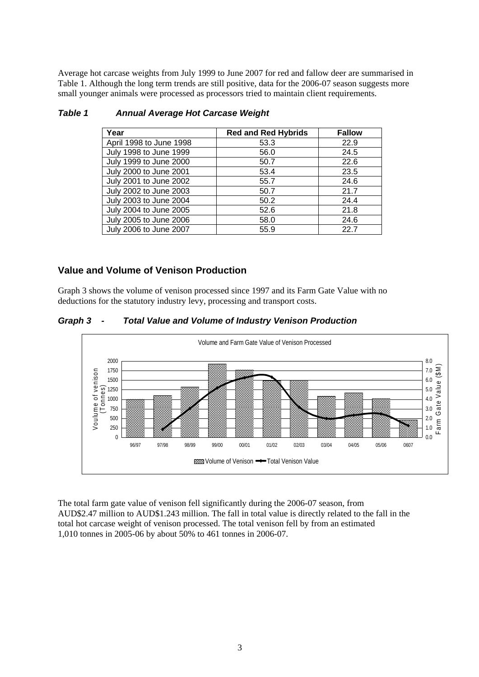Average hot carcase weights from July 1999 to June 2007 for red and fallow deer are summarised in Table 1. Although the long term trends are still positive, data for the 2006-07 season suggests more small younger animals were processed as processors tried to maintain client requirements.

| Year                    | <b>Red and Red Hybrids</b> | <b>Fallow</b> |
|-------------------------|----------------------------|---------------|
| April 1998 to June 1998 | 53.3                       | 22.9          |
| July 1998 to June 1999  | 56.0                       | 24.5          |
| July 1999 to June 2000  | 50.7                       | 22.6          |
| July 2000 to June 2001  | 53.4                       | 23.5          |
| July 2001 to June 2002  | 55.7                       | 24.6          |
| July 2002 to June 2003  | 50.7                       | 21.7          |
| July 2003 to June 2004  | 50.2                       | 24.4          |
| July 2004 to June 2005  | 52.6                       | 21.8          |
| July 2005 to June 2006  | 58.0                       | 24.6          |
| July 2006 to June 2007  | 55.9                       | 22.7          |

#### *Table 1 Annual Average Hot Carcase Weight*

#### **Value and Volume of Venison Production**

Graph 3 shows the volume of venison processed since 1997 and its Farm Gate Value with no deductions for the statutory industry levy, processing and transport costs.

#### *Graph 3 - Total Value and Volume of Industry Venison Production*



The total farm gate value of venison fell significantly during the 2006-07 season, from AUD\$2.47 million to AUD\$1.243 million. The fall in total value is directly related to the fall in the total hot carcase weight of venison processed. The total venison fell by from an estimated 1,010 tonnes in 2005-06 by about 50% to 461 tonnes in 2006-07.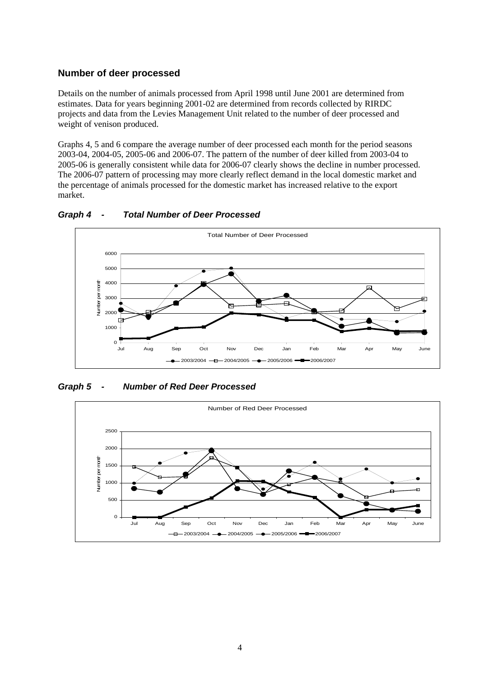#### **Number of deer processed**

Details on the number of animals processed from April 1998 until June 2001 are determined from estimates. Data for years beginning 2001-02 are determined from records collected by RIRDC projects and data from the Levies Management Unit related to the number of deer processed and weight of venison produced.

Graphs 4, 5 and 6 compare the average number of deer processed each month for the period seasons 2003-04, 2004-05, 2005-06 and 2006-07. The pattern of the number of deer killed from 2003-04 to 2005-06 is generally consistent while data for 2006-07 clearly shows the decline in number processed. The 2006-07 pattern of processing may more clearly reflect demand in the local domestic market and the percentage of animals processed for the domestic market has increased relative to the export market.



*Graph 4 - Total Number of Deer Processed* 

*Graph 5 - Number of Red Deer Processed* 

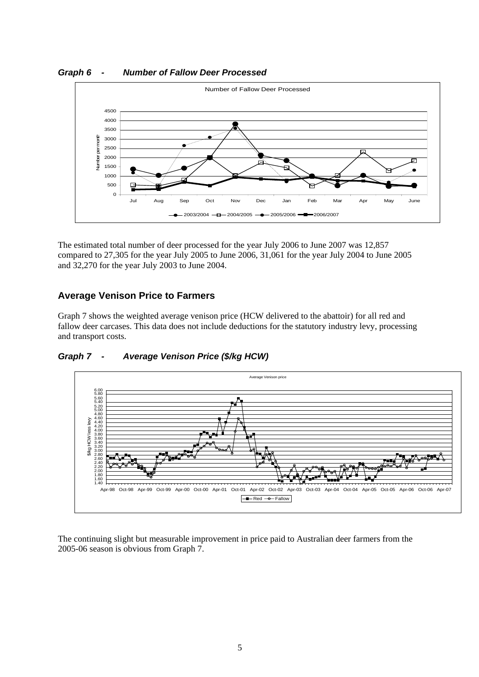*Graph 6 - Number of Fallow Deer Processed* 



The estimated total number of deer processed for the year July 2006 to June 2007 was 12,857 compared to 27,305 for the year July 2005 to June 2006, 31,061 for the year July 2004 to June 2005 and 32,270 for the year July 2003 to June 2004.

### **Average Venison Price to Farmers**

Graph 7 shows the weighted average venison price (HCW delivered to the abattoir) for all red and fallow deer carcases. This data does not include deductions for the statutory industry levy, processing and transport costs.



*Graph 7 - Average Venison Price (\$/kg HCW)* 

The continuing slight but measurable improvement in price paid to Australian deer farmers from the 2005-06 season is obvious from Graph 7.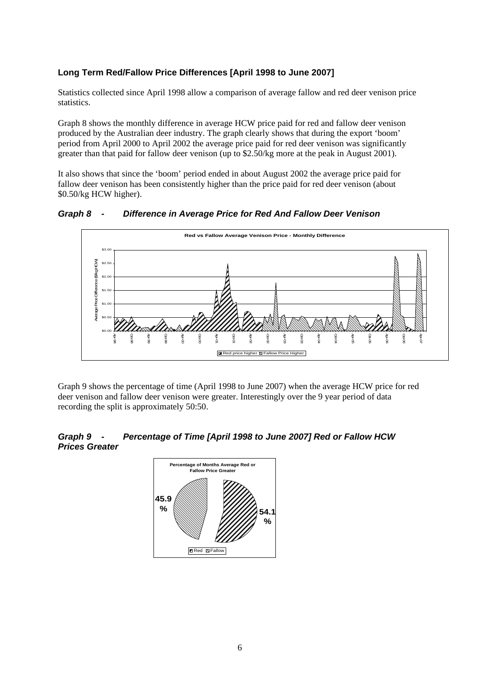#### **Long Term Red/Fallow Price Differences [April 1998 to June 2007]**

Statistics collected since April 1998 allow a comparison of average fallow and red deer venison price statistics.

Graph 8 shows the monthly difference in average HCW price paid for red and fallow deer venison produced by the Australian deer industry. The graph clearly shows that during the export 'boom' period from April 2000 to April 2002 the average price paid for red deer venison was significantly greater than that paid for fallow deer venison (up to \$2.50/kg more at the peak in August 2001).

It also shows that since the 'boom' period ended in about August 2002 the average price paid for fallow deer venison has been consistently higher than the price paid for red deer venison (about \$0.50/kg HCW higher).

*Graph 8 - Difference in Average Price for Red And Fallow Deer Venison* 



Graph 9 shows the percentage of time (April 1998 to June 2007) when the average HCW price for red deer venison and fallow deer venison were greater. Interestingly over the 9 year period of data recording the split is approximately 50:50.

#### *Graph 9 - Percentage of Time [April 1998 to June 2007] Red or Fallow HCW Prices Greater*

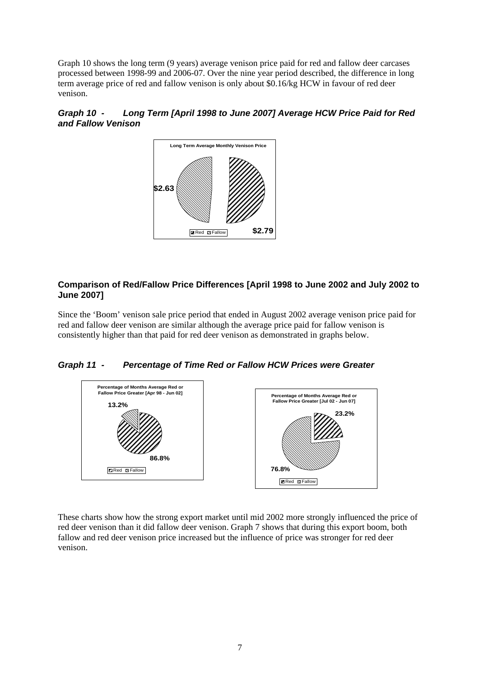Graph 10 shows the long term (9 years) average venison price paid for red and fallow deer carcases processed between 1998-99 and 2006-07. Over the nine year period described, the difference in long term average price of red and fallow venison is only about \$0.16/kg HCW in favour of red deer venison.





#### **Comparison of Red/Fallow Price Differences [April 1998 to June 2002 and July 2002 to June 2007]**

Since the 'Boom' venison sale price period that ended in August 2002 average venison price paid for red and fallow deer venison are similar although the average price paid for fallow venison is consistently higher than that paid for red deer venison as demonstrated in graphs below.

*Graph 11 - Percentage of Time Red or Fallow HCW Prices were Greater* 



These charts show how the strong export market until mid 2002 more strongly influenced the price of red deer venison than it did fallow deer venison. Graph 7 shows that during this export boom, both fallow and red deer venison price increased but the influence of price was stronger for red deer venison.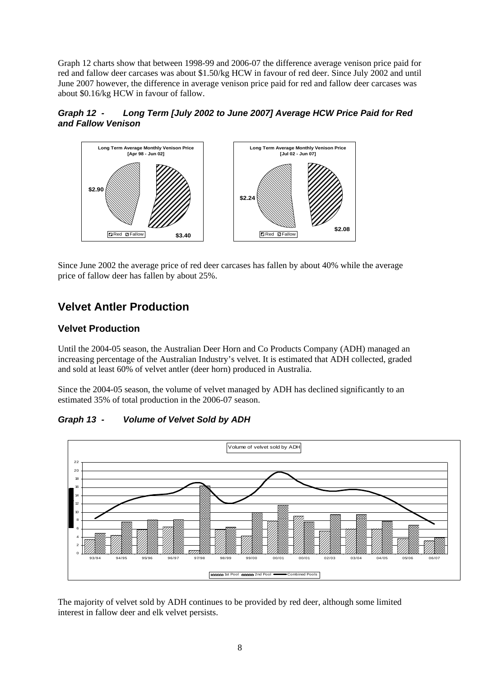Graph 12 charts show that between 1998-99 and 2006-07 the difference average venison price paid for red and fallow deer carcases was about \$1.50/kg HCW in favour of red deer. Since July 2002 and until June 2007 however, the difference in average venison price paid for red and fallow deer carcases was about \$0.16/kg HCW in favour of fallow.





Since June 2002 the average price of red deer carcases has fallen by about 40% while the average price of fallow deer has fallen by about 25%.

### **Velvet Antler Production**

#### **Velvet Production**

Until the 2004-05 season, the Australian Deer Horn and Co Products Company (ADH) managed an increasing percentage of the Australian Industry's velvet. It is estimated that ADH collected, graded and sold at least 60% of velvet antler (deer horn) produced in Australia.

Since the 2004-05 season, the volume of velvet managed by ADH has declined significantly to an estimated 35% of total production in the 2006-07 season.

*Graph 13 - Volume of Velvet Sold by ADH* 



The majority of velvet sold by ADH continues to be provided by red deer, although some limited interest in fallow deer and elk velvet persists.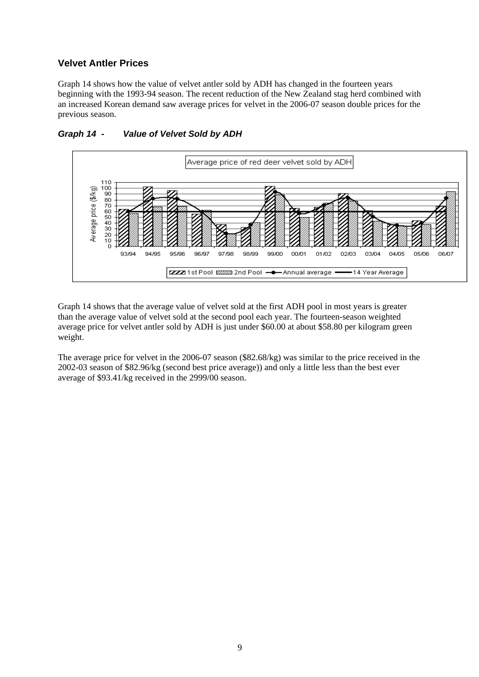#### **Velvet Antler Prices**

Graph 14 shows how the value of velvet antler sold by ADH has changed in the fourteen years beginning with the 1993-94 season. The recent reduction of the New Zealand stag herd combined with an increased Korean demand saw average prices for velvet in the 2006-07 season double prices for the previous season.



#### *Graph 14 - Value of Velvet Sold by ADH*

Graph 14 shows that the average value of velvet sold at the first ADH pool in most years is greater than the average value of velvet sold at the second pool each year. The fourteen-season weighted average price for velvet antler sold by ADH is just under \$60.00 at about \$58.80 per kilogram green weight.

The average price for velvet in the 2006-07 season (\$82.68/kg) was similar to the price received in the 2002-03 season of \$82.96/kg (second best price average)) and only a little less than the best ever average of \$93.41/kg received in the 2999/00 season.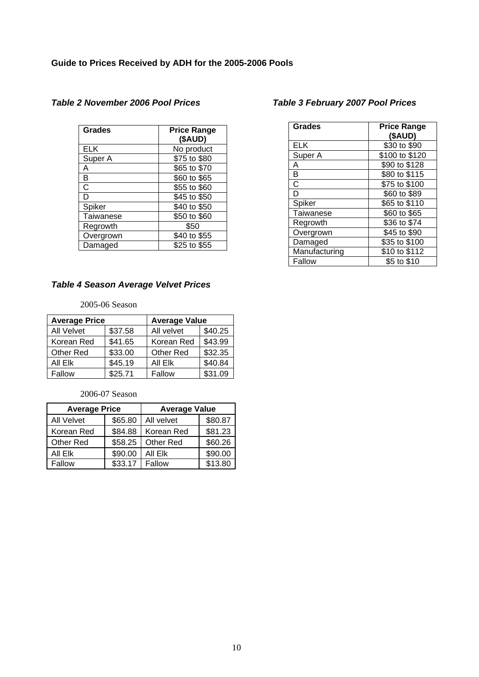| <b>Grades</b> | <b>Price Range</b><br>(\$AUD) |
|---------------|-------------------------------|
| <b>ELK</b>    | No product                    |
| Super A       | \$75 to \$80                  |
| Α             | \$65 to \$70                  |
| в             | \$60 to \$65                  |
| С             | \$55 to \$60                  |
| D             | \$45 to \$50                  |
| Spiker        | \$40 to \$50                  |
| Taiwanese     | \$50 to \$60                  |
| Regrowth      | \$50                          |
| Overgrown     | \$40 to \$55                  |
| Damaged       | \$25 to \$55                  |

#### *Table 2 November 2006 Pool Prices*

#### *Table 4 Season Average Velvet Prices*

#### 2005-06 Season

| <b>Average Price</b> |         | <b>Average Value</b> |         |
|----------------------|---------|----------------------|---------|
| <b>All Velvet</b>    | \$37.58 | All velvet           | \$40.25 |
| Korean Red           | \$41.65 | Korean Red           | \$43.99 |
| <b>Other Red</b>     | \$33.00 | <b>Other Red</b>     | \$32.35 |
| All Elk              | \$45.19 | All Elk              | \$40.84 |
| Fallow               | \$25.71 | Fallow               | \$31.09 |

2006-07 Season

| <b>Average Price</b> |         | <b>Average Value</b> |         |
|----------------------|---------|----------------------|---------|
| <b>All Velvet</b>    | \$65.80 | All velvet           | \$80.87 |
| Korean Red           | \$84.88 | Korean Red           | \$81.23 |
| Other Red            | \$58.25 | Other Red            | \$60.26 |
| All Elk              | \$90.00 | All Elk              | \$90.00 |
| Fallow               | \$33.17 | Fallow               | \$13.80 |

#### *Table 3 February 2007 Pool Prices*

| <b>Grades</b> | <b>Price Range</b><br>(\$AUD) |
|---------------|-------------------------------|
| <b>ELK</b>    | \$30 to \$90                  |
| Super A       | \$100 to \$120                |
| А             | \$90 to \$128                 |
| B             | \$80 to \$115                 |
| Ć             | \$75 to \$100                 |
| D             | \$60 to \$89                  |
| Spiker        | \$65 to \$110                 |
| Taiwanese     | \$60 to \$65                  |
| Regrowth      | \$36 to \$74                  |
| Overgrown     | \$45 to \$90                  |
| Damaged       | \$35 to \$100                 |
| Manufacturing | \$10 to \$112                 |
| Fallow        | \$5 to \$10                   |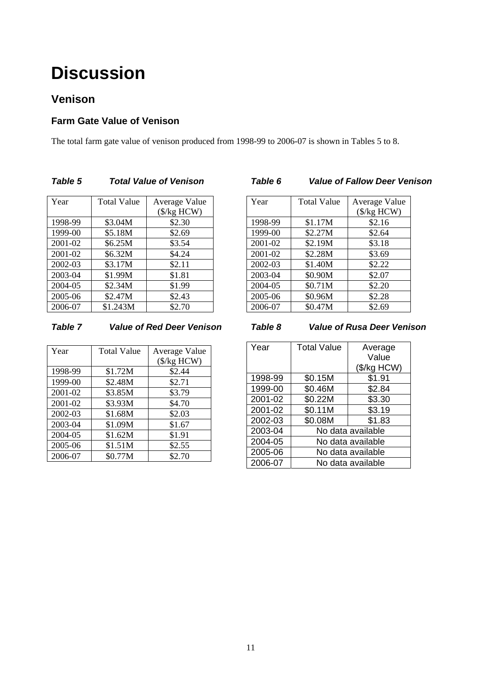# **Discussion**

### **Venison**

### **Farm Gate Value of Venison**

The total farm gate value of venison produced from 1998-99 to 2006-07 is shown in Tables 5 to 8.

| Year    | <b>Total Value</b> | Average Value        |
|---------|--------------------|----------------------|
|         |                    | $(\frac{5}{kg}$ HCW) |
| 1998-99 | \$3.04M            | \$2.30               |
| 1999-00 | \$5.18M            | \$2.69               |
| 2001-02 | \$6.25M            | \$3.54               |
| 2001-02 | \$6.32M            | \$4.24               |
| 2002-03 | \$3.17M            | \$2.11               |
| 2003-04 | \$1.99M            | \$1.81               |
| 2004-05 | \$2.34M            | \$1.99               |
| 2005-06 | \$2.47M            | \$2.43               |
| 2006-07 | \$1.243M           | \$2.70               |

### *Table 5 Total Value of Venison*

| Year    | <b>Total Value</b> | Average Value        |
|---------|--------------------|----------------------|
|         |                    | $(\frac{5}{kg}$ HCW) |
| 1998-99 | \$1.17M            | \$2.16               |
| 1999-00 | \$2.27M            | \$2.64               |
| 2001-02 | \$2.19M            | \$3.18               |
| 2001-02 | \$2.28M            | \$3.69               |
| 2002-03 | \$1.40M            | \$2.22               |
| 2003-04 | \$0.90M            | \$2.07               |
| 2004-05 | \$0.71M            | \$2.20               |
| 2005-06 | \$0.96M            | \$2.28               |
| 2006-07 | \$0.47M            | \$2.69               |

*Table 6 Value of Fallow Deer Venison* 

#### *Table 7 Value of Red Deer Venison*

| Year    | <b>Total Value</b> | Average Value        |
|---------|--------------------|----------------------|
|         |                    | $(\frac{5}{kg}$ HCW) |
| 1998-99 | \$1.72M            | \$2.44               |
| 1999-00 | \$2.48M            | \$2.71               |
| 2001-02 | \$3.85M            | \$3.79               |
| 2001-02 | \$3.93M            | \$4.70               |
| 2002-03 | \$1.68M            | \$2.03               |
| 2003-04 | \$1.09M            | \$1.67               |
| 2004-05 | \$1.62M            | \$1.91               |
| 2005-06 | \$1.51M            | \$2.55               |
| 2006-07 | \$0.77M            | \$2.70               |

#### *Table 8 Value of Rusa Deer Venison*

| Year    | <b>Total Value</b> | Average      |  |
|---------|--------------------|--------------|--|
|         |                    | Value        |  |
|         |                    | $($/kg$ HCW) |  |
| 1998-99 | \$0.15M            | \$1.91       |  |
| 1999-00 | \$0.46M            | \$2.84       |  |
| 2001-02 | \$0.22M            | \$3.30       |  |
| 2001-02 | \$0.11M            | \$3.19       |  |
| 2002-03 | \$0.08M            | \$1.83       |  |
| 2003-04 | No data available  |              |  |
| 2004-05 | No data available  |              |  |
| 2005-06 | No data available  |              |  |
| 2006-07 | No data available  |              |  |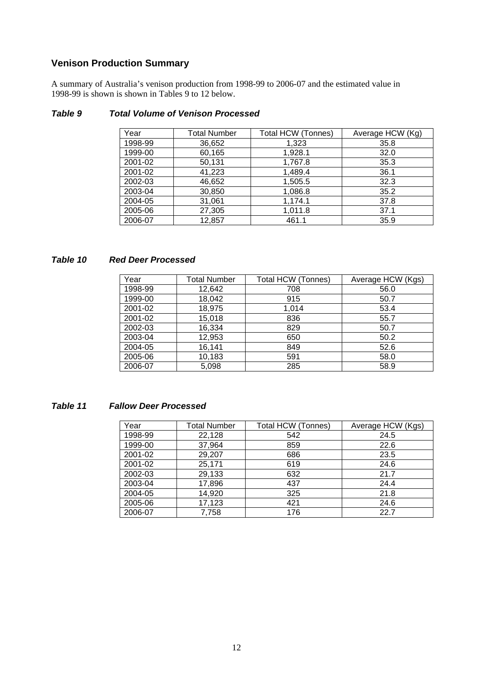### **Venison Production Summary**

A summary of Australia's venison production from 1998-99 to 2006-07 and the estimated value in 1998-99 is shown is shown in Tables 9 to 12 below.

| Year    | <b>Total Number</b> | Total HCW (Tonnes) | Average HCW (Kg) |
|---------|---------------------|--------------------|------------------|
| 1998-99 | 36,652              | 1,323              | 35.8             |
| 1999-00 | 60,165              | 1,928.1            | 32.0             |
| 2001-02 | 50,131              | 1,767.8            | 35.3             |
| 2001-02 | 41,223              | 1,489.4            | 36.1             |
| 2002-03 | 46,652              | 1,505.5            | 32.3             |
| 2003-04 | 30,850              | 1,086.8            | 35.2             |
| 2004-05 | 31,061              | 1,174.1            | 37.8             |
| 2005-06 | 27,305              | 1,011.8            | 37.1             |
| 2006-07 | 12,857              | 461.1              | 35.9             |

#### *Table 9 Total Volume of Venison Processed*

#### *Table 10 Red Deer Processed*

| Year    | <b>Total Number</b> | <b>Total HCW (Tonnes)</b> | Average HCW (Kgs) |
|---------|---------------------|---------------------------|-------------------|
| 1998-99 | 12,642              | 708                       | 56.0              |
| 1999-00 | 18,042              | 915                       | 50.7              |
| 2001-02 | 18,975              | 1,014                     | 53.4              |
| 2001-02 | 15,018              | 836                       | 55.7              |
| 2002-03 | 16,334              | 829                       | 50.7              |
| 2003-04 | 12,953              | 650                       | 50.2              |
| 2004-05 | 16,141              | 849                       | 52.6              |
| 2005-06 | 10,183              | 591                       | 58.0              |
| 2006-07 | 5,098               | 285                       | 58.9              |

#### *Table 11 Fallow Deer Processed*

| Year    | <b>Total Number</b> | <b>Total HCW (Tonnes)</b> | Average HCW (Kgs) |
|---------|---------------------|---------------------------|-------------------|
| 1998-99 | 22,128              | 542                       | 24.5              |
| 1999-00 | 37,964              | 859                       | 22.6              |
| 2001-02 | 29,207              | 686                       | 23.5              |
| 2001-02 | 25,171              | 619                       | 24.6              |
| 2002-03 | 29,133              | 632                       | 21.7              |
| 2003-04 | 17,896              | 437                       | 24.4              |
| 2004-05 | 14,920              | 325                       | 21.8              |
| 2005-06 | 17,123              | 421                       | 24.6              |
| 2006-07 | 7,758               | 176                       | 22.7              |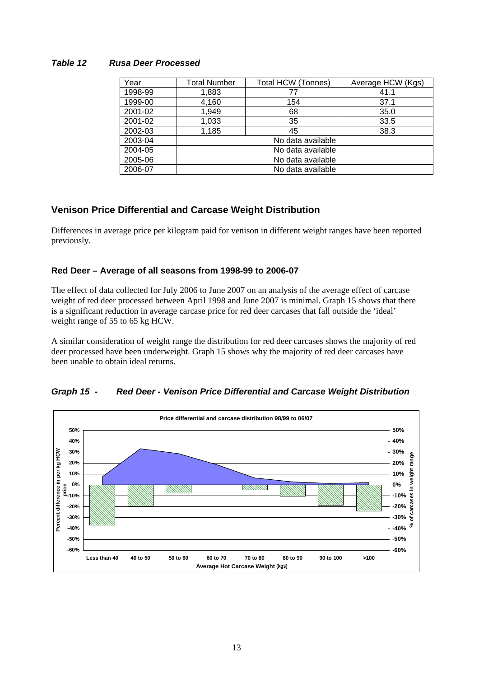#### *Table 12 Rusa Deer Processed*

| Year    | <b>Total Number</b> | Total HCW (Tonnes) | Average HCW (Kgs) |
|---------|---------------------|--------------------|-------------------|
| 1998-99 | 1,883               | 77                 | 41.1              |
| 1999-00 | 4,160               | 154                | 37.1              |
| 2001-02 | 1,949               | 68                 | 35.0              |
| 2001-02 | 1,033               | 35                 | 33.5              |
| 2002-03 | 1,185               | 45                 | 38.3              |
| 2003-04 | No data available   |                    |                   |
| 2004-05 | No data available   |                    |                   |
| 2005-06 | No data available   |                    |                   |
| 2006-07 | No data available   |                    |                   |

#### **Venison Price Differential and Carcase Weight Distribution**

Differences in average price per kilogram paid for venison in different weight ranges have been reported previously.

#### **Red Deer – Average of all seasons from 1998-99 to 2006-07**

The effect of data collected for July 2006 to June 2007 on an analysis of the average effect of carcase weight of red deer processed between April 1998 and June 2007 is minimal. Graph 15 shows that there is a significant reduction in average carcase price for red deer carcases that fall outside the 'ideal' weight range of 55 to 65 kg HCW.

A similar consideration of weight range the distribution for red deer carcases shows the majority of red deer processed have been underweight. Graph 15 shows why the majority of red deer carcases have been unable to obtain ideal returns.



#### *Graph 15 - Red Deer - Venison Price Differential and Carcase Weight Distribution*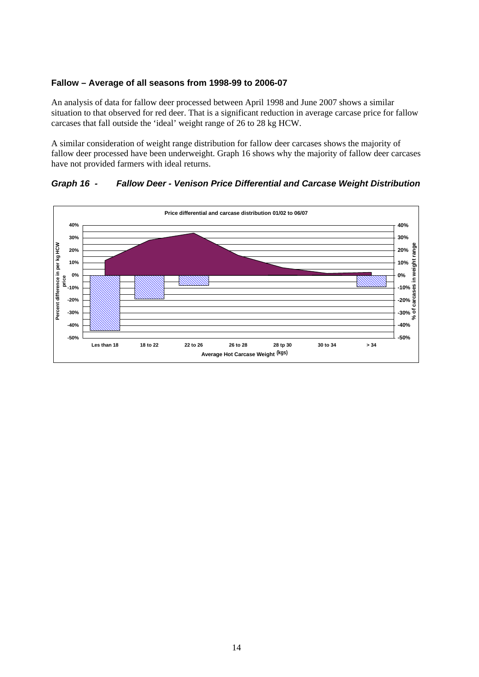#### **Fallow – Average of all seasons from 1998-99 to 2006-07**

An analysis of data for fallow deer processed between April 1998 and June 2007 shows a similar situation to that observed for red deer. That is a significant reduction in average carcase price for fallow carcases that fall outside the 'ideal' weight range of 26 to 28 kg HCW.

A similar consideration of weight range distribution for fallow deer carcases shows the majority of fallow deer processed have been underweight. Graph 16 shows why the majority of fallow deer carcases have not provided farmers with ideal returns.

#### *Graph 16 - Fallow Deer - Venison Price Differential and Carcase Weight Distribution*

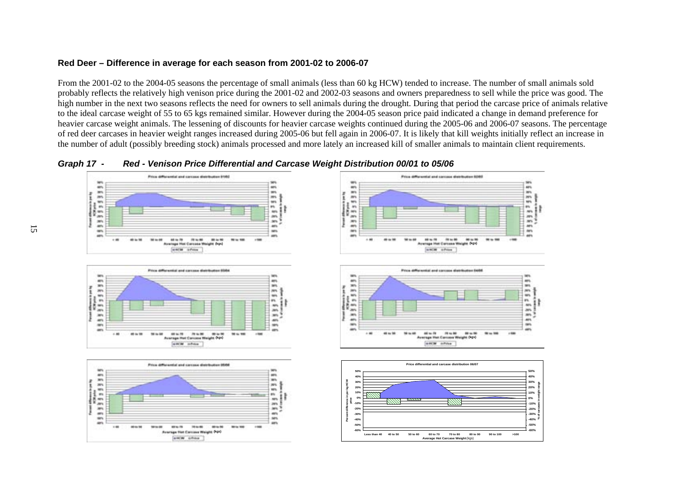#### **Red Deer – Difference in average for each season from 2001-02 to 2006-07**

From the 2001-02 to the 2004-05 seasons the percentage of small animals (less than 60 kg HCW) tended to increase. The number of small animals sold probably reflects the relatively high venison price during the 2001-02 and 2002-03 seasons and owners preparedness to sell while the price was good. The high number in the next two seasons reflects the need for owners to sell animals during the drought. During that period the carcase price of animals relative to the ideal carcase weight of 55 to 65 kgs remained similar. However during the 2004-05 season price paid indicated a change in demand preference for heavier carcase weight animals. The lessening of discounts for heavier carcase weights continued during the 2005-06 and 2006-07 seasons. The percentage of red deer carcases in heavier weight ranges increased during 2005-06 but fell again in 2006-07. It is likely that kill weights initially reflect an increase in the number of adult (possibly breeding stock) animals processed and more lately an increased kill of smaller animals to maintain client requirements.



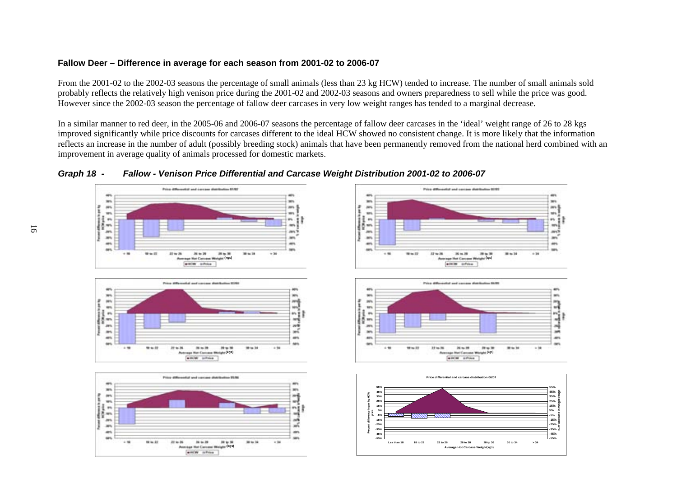#### **Fallow Deer – Difference in average for each season from 2001-02 to 2006-07**

From the 2001-02 to the 2002-03 seasons the percentage of small animals (less than 23 kg HCW) tended to increase. The number of small animals sold probably reflects the relatively high venison price during the 2001-02 and 2002-03 seasons and owners preparedness to sell while the price was good. However since the 2002-03 season the percentage of fallow deer carcases in very low weight ranges has tended to a marginal decrease.

In a similar manner to red deer, in the 2005-06 and 2006-07 seasons the percentage of fallow deer carcases in the 'ideal' weight range of 26 to 28 kgs improved significantly while price discounts for carcases different to the ideal HCW showed no consistent change. It is more likely that the information reflects an increase in the number of adult (possibly breeding stock) animals that have been permanently removed from the national herd combined with an improvement in average quality of animals processed for domestic markets.



*Graph 18 - Fallow - Venison Price Differential and Carcase Weight Distribution 2001-02 to 2006-07*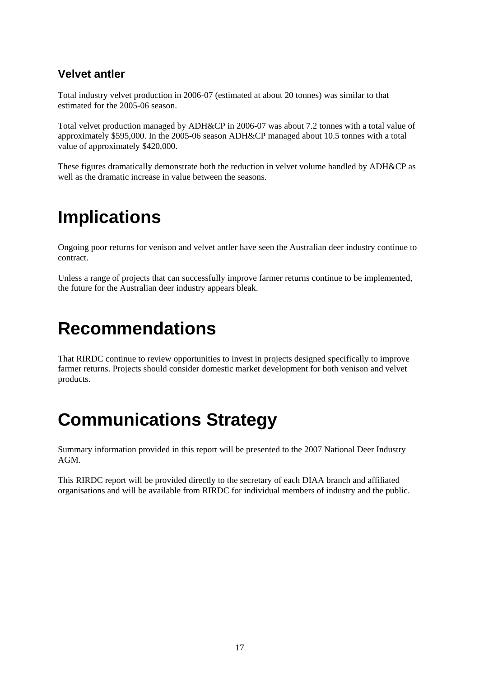### **Velvet antler**

Total industry velvet production in 2006-07 (estimated at about 20 tonnes) was similar to that estimated for the 2005-06 season.

Total velvet production managed by ADH&CP in 2006-07 was about 7.2 tonnes with a total value of approximately \$595,000. In the 2005-06 season ADH&CP managed about 10.5 tonnes with a total value of approximately \$420,000.

These figures dramatically demonstrate both the reduction in velvet volume handled by ADH&CP as well as the dramatic increase in value between the seasons.

### **Implications**

Ongoing poor returns for venison and velvet antler have seen the Australian deer industry continue to contract.

Unless a range of projects that can successfully improve farmer returns continue to be implemented, the future for the Australian deer industry appears bleak.

### **Recommendations**

That RIRDC continue to review opportunities to invest in projects designed specifically to improve farmer returns. Projects should consider domestic market development for both venison and velvet products.

# **Communications Strategy**

Summary information provided in this report will be presented to the 2007 National Deer Industry AGM.

This RIRDC report will be provided directly to the secretary of each DIAA branch and affiliated organisations and will be available from RIRDC for individual members of industry and the public.